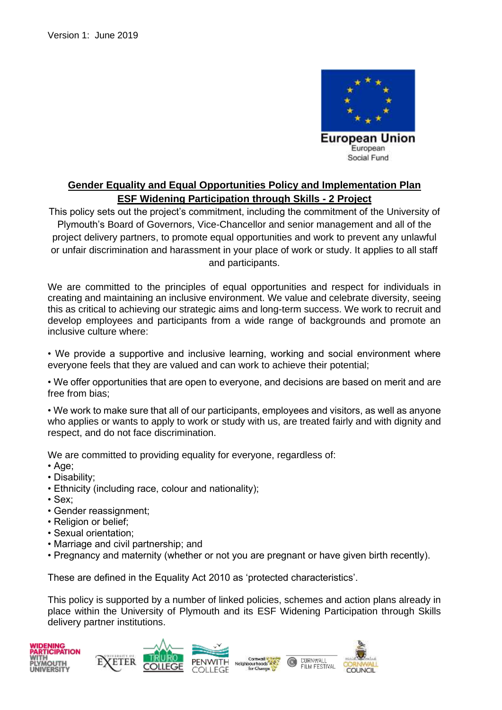

## **Gender Equality and Equal Opportunities Policy and Implementation Plan ESF Widening Participation through Skills - 2 Project**

This policy sets out the project's commitment, including the commitment of the University of Plymouth's Board of Governors, Vice-Chancellor and senior management and all of the project delivery partners, to promote equal opportunities and work to prevent any unlawful or unfair discrimination and harassment in your place of work or study. It applies to all staff and participants.

We are committed to the principles of equal opportunities and respect for individuals in creating and maintaining an inclusive environment. We value and celebrate diversity, seeing this as critical to achieving our strategic aims and long-term success. We work to recruit and develop employees and participants from a wide range of backgrounds and promote an inclusive culture where:

• We provide a supportive and inclusive learning, working and social environment where everyone feels that they are valued and can work to achieve their potential;

• We offer opportunities that are open to everyone, and decisions are based on merit and are free from bias;

• We work to make sure that all of our participants, employees and visitors, as well as anyone who applies or wants to apply to work or study with us, are treated fairly and with dignity and respect, and do not face discrimination.

We are committed to providing equality for everyone, regardless of:

• Age;

- Disability;
- Ethnicity (including race, colour and nationality);
- Sex;
- Gender reassignment;
- Religion or belief;
- Sexual orientation;
- Marriage and civil partnership; and
- Pregnancy and maternity (whether or not you are pregnant or have given birth recently).

These are defined in the Equality Act 2010 as 'protected characteristics'.

This policy is supported by a number of linked policies, schemes and action plans already in place within the University of Plymouth and its ESF Widening Participation through Skills delivery partner institutions.

CORNWALL

FILM FESTIVAL



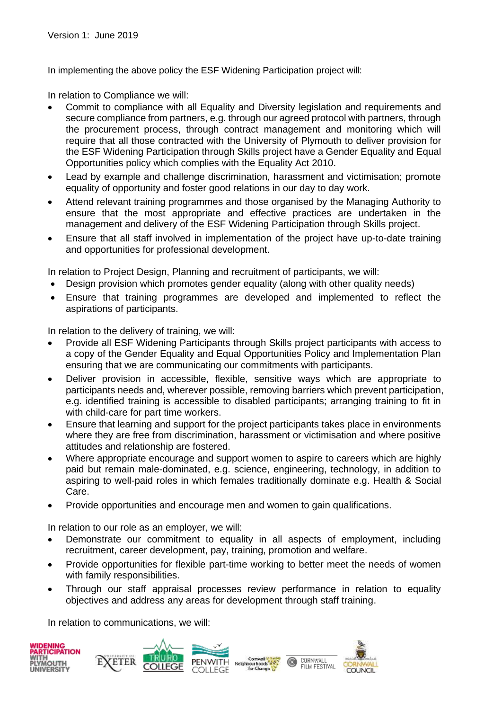In implementing the above policy the ESF Widening Participation project will:

In relation to Compliance we will:

- Commit to compliance with all Equality and Diversity legislation and requirements and secure compliance from partners, e.g. through our agreed protocol with partners, through the procurement process, through contract management and monitoring which will require that all those contracted with the University of Plymouth to deliver provision for the ESF Widening Participation through Skills project have a Gender Equality and Equal Opportunities policy which complies with the Equality Act 2010.
- Lead by example and challenge discrimination, harassment and victimisation; promote equality of opportunity and foster good relations in our day to day work.
- Attend relevant training programmes and those organised by the Managing Authority to ensure that the most appropriate and effective practices are undertaken in the management and delivery of the ESF Widening Participation through Skills project.
- Ensure that all staff involved in implementation of the project have up-to-date training and opportunities for professional development.

In relation to Project Design, Planning and recruitment of participants, we will:

- Design provision which promotes gender equality (along with other quality needs)
- Ensure that training programmes are developed and implemented to reflect the aspirations of participants.

In relation to the delivery of training, we will:

- Provide all ESF Widening Participants through Skills project participants with access to a copy of the Gender Equality and Equal Opportunities Policy and Implementation Plan ensuring that we are communicating our commitments with participants.
- Deliver provision in accessible, flexible, sensitive ways which are appropriate to participants needs and, wherever possible, removing barriers which prevent participation, e.g. identified training is accessible to disabled participants; arranging training to fit in with child-care for part time workers.
- Ensure that learning and support for the project participants takes place in environments where they are free from discrimination, harassment or victimisation and where positive attitudes and relationship are fostered.
- Where appropriate encourage and support women to aspire to careers which are highly paid but remain male-dominated, e.g. science, engineering, technology, in addition to aspiring to well-paid roles in which females traditionally dominate e.g. Health & Social Care.
- Provide opportunities and encourage men and women to gain qualifications.

In relation to our role as an employer, we will:

- Demonstrate our commitment to equality in all aspects of employment, including recruitment, career development, pay, training, promotion and welfare.
- Provide opportunities for flexible part-time working to better meet the needs of women with family responsibilities.
- Through our staff appraisal processes review performance in relation to equality objectives and address any areas for development through staff training.

In relation to communications, we will:









CORNWALL